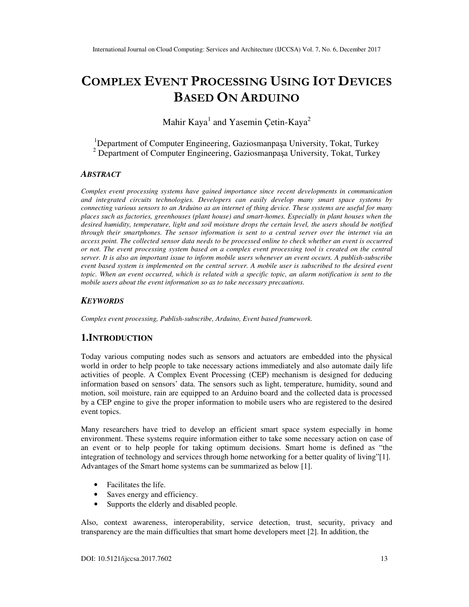# **COMPLEX EVENT PROCESSING USING IOT DEVICES BASED ON ARDUINO**

Mahir Kaya<sup>1</sup> and Yasemin Çetin-Kaya<sup>2</sup>

<sup>1</sup>Department of Computer Engineering, Gaziosmanpaşa University, Tokat, Turkey <sup>2</sup> Department of Computer Engineering, Gaziosmanpaşa University, Tokat, Turkey

### *ABSTRACT*

*Complex event processing systems have gained importance since recent developments in communication and integrated circuits technologies. Developers can easily develop many smart space systems by connecting various sensors to an Arduino as an internet of thing device. These systems are useful for many places such as factories, greenhouses (plant house) and smart-homes. Especially in plant houses when the desired humidity, temperature, light and soil moisture drops the certain level, the users should be notified through their smartphones. The sensor information is sent to a central server over the internet via an access point. The collected sensor data needs to be processed online to check whether an event is occurred or not. The event processing system based on a complex event processing tool is created on the central server. It is also an important issue to inform mobile users whenever an event occurs. A publish-subscribe event based system is implemented on the central server. A mobile user is subscribed to the desired event topic. When an event occurred, which is related with a specific topic, an alarm notification is sent to the mobile users about the event information so as to take necessary precautions.* 

### *KEYWORDS*

*Complex event processing, Publish-subscribe, Arduino, Event based framework.* 

# **1.INTRODUCTION**

Today various computing nodes such as sensors and actuators are embedded into the physical world in order to help people to take necessary actions immediately and also automate daily life activities of people. A Complex Event Processing (CEP) mechanism is designed for deducing information based on sensors' data. The sensors such as light, temperature, humidity, sound and motion, soil moisture, rain are equipped to an Arduino board and the collected data is processed by a CEP engine to give the proper information to mobile users who are registered to the desired event topics.

Many researchers have tried to develop an efficient smart space system especially in home environment. These systems require information either to take some necessary action on case of an event or to help people for taking optimum decisions. Smart home is defined as "the integration of technology and services through home networking for a better quality of living"[1]. Advantages of the Smart home systems can be summarized as below [1].

- Facilitates the life.
- Saves energy and efficiency.
- Supports the elderly and disabled people.

Also, context awareness, interoperability, service detection, trust, security, privacy and transparency are the main difficulties that smart home developers meet [2]. In addition, the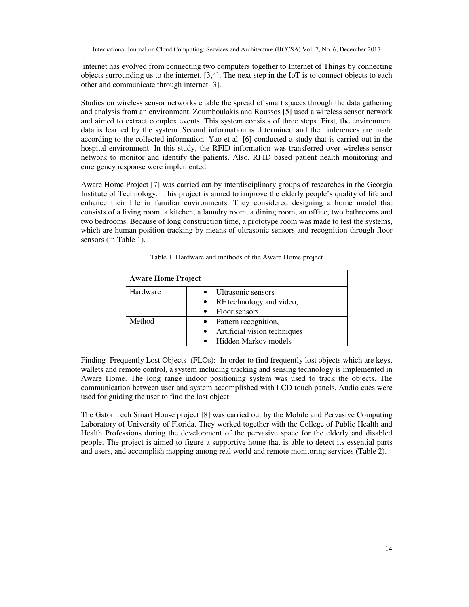internet has evolved from connecting two computers together to Internet of Things by connecting objects surrounding us to the internet. [3,4]. The next step in the IoT is to connect objects to each other and communicate through internet [3].

Studies on wireless sensor networks enable the spread of smart spaces through the data gathering and analysis from an environment. Zoumboulakis and Roussos [5] used a wireless sensor network and aimed to extract complex events. This system consists of three steps. First, the environment data is learned by the system. Second information is determined and then inferences are made according to the collected information. Yao et al. [6] conducted a study that is carried out in the hospital environment. In this study, the RFID information was transferred over wireless sensor network to monitor and identify the patients. Also, RFID based patient health monitoring and emergency response were implemented.

Aware Home Project [7] was carried out by interdisciplinary groups of researches in the Georgia Institute of Technology. This project is aimed to improve the elderly people's quality of life and enhance their life in familiar environments. They considered designing a home model that consists of a living room, a kitchen, a laundry room, a dining room, an office, two bathrooms and two bedrooms. Because of long construction time, a prototype room was made to test the systems, which are human position tracking by means of ultrasonic sensors and recognition through floor sensors (in Table 1).

| <b>Aware Home Project</b> |                              |  |
|---------------------------|------------------------------|--|
| Hardware                  | Ultrasonic sensors           |  |
|                           | RF technology and video,     |  |
|                           | Floor sensors                |  |
| Method                    | Pattern recognition,         |  |
|                           | Artificial vision techniques |  |
|                           | Hidden Markov models         |  |

Table 1. Hardware and methods of the Aware Home project

Finding Frequently Lost Objects (FLOs): In order to find frequently lost objects which are keys, wallets and remote control, a system including tracking and sensing technology is implemented in Aware Home. The long range indoor positioning system was used to track the objects. The communication between user and system accomplished with LCD touch panels. Audio cues were used for guiding the user to find the lost object.

The Gator Tech Smart House project [8] was carried out by the Mobile and Pervasive Computing Laboratory of University of Florida. They worked together with the College of Public Health and Health Professions during the development of the pervasive space for the elderly and disabled people. The project is aimed to figure a supportive home that is able to detect its essential parts and users, and accomplish mapping among real world and remote monitoring services (Table 2).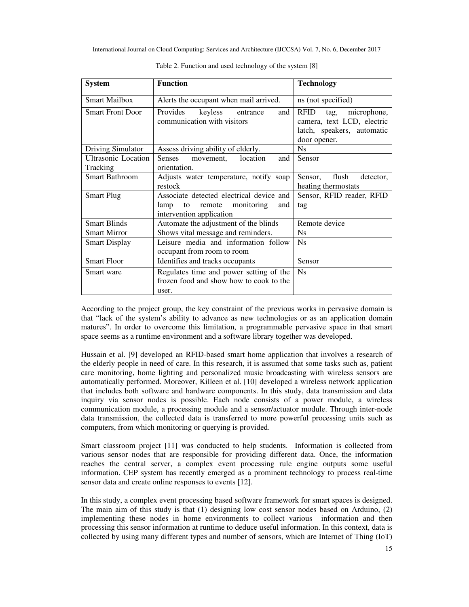| <b>System</b>              | <b>Function</b>                                                                             | <b>Technology</b>                                                                                       |
|----------------------------|---------------------------------------------------------------------------------------------|---------------------------------------------------------------------------------------------------------|
| <b>Smart Mailbox</b>       | Alerts the occupant when mail arrived.                                                      | ns (not specified)                                                                                      |
| <b>Smart Front Door</b>    | keyless entrance<br>Provides<br>and<br>communication with visitors                          | RFID<br>microphone,<br>tag,<br>camera, text LCD, electric<br>latch, speakers, automatic<br>door opener. |
| <b>Driving Simulator</b>   | Assess driving ability of elderly.                                                          | Ns                                                                                                      |
| <b>Ultrasonic Location</b> | Senses movement,<br>location<br>and                                                         | Sensor                                                                                                  |
| Tracking                   | orientation.                                                                                |                                                                                                         |
| <b>Smart Bathroom</b>      | Adjusts water temperature, notify soap                                                      | Sensor, flush detector,                                                                                 |
|                            | restock                                                                                     | heating thermostats                                                                                     |
| <b>Smart Plug</b>          | Associate detected electrical device and                                                    | Sensor, RFID reader, RFID                                                                               |
|                            | lamp to remote monitoring<br>and                                                            | tag                                                                                                     |
|                            | intervention application                                                                    |                                                                                                         |
| <b>Smart Blinds</b>        | Automate the adjustment of the blinds                                                       | Remote device                                                                                           |
| <b>Smart Mirror</b>        | Shows vital message and reminders.                                                          | <b>Ns</b>                                                                                               |
| <b>Smart Display</b>       | Leisure media and information follow                                                        | <b>Ns</b>                                                                                               |
|                            | occupant from room to room                                                                  |                                                                                                         |
| <b>Smart Floor</b>         | Identifies and tracks occupants                                                             | Sensor                                                                                                  |
| Smart ware                 | Regulates time and power setting of the<br>frozen food and show how to cook to the<br>user. | <b>Ns</b>                                                                                               |

Table 2. Function and used technology of the system [8]

According to the project group, the key constraint of the previous works in pervasive domain is that "lack of the system's ability to advance as new technologies or as an application domain matures". In order to overcome this limitation, a programmable pervasive space in that smart space seems as a runtime environment and a software library together was developed.

Hussain et al. [9] developed an RFID-based smart home application that involves a research of the elderly people in need of care. In this research, it is assumed that some tasks such as, patient care monitoring, home lighting and personalized music broadcasting with wireless sensors are automatically performed. Moreover, Killeen et al. [10] developed a wireless network application that includes both software and hardware components. In this study, data transmission and data inquiry via sensor nodes is possible. Each node consists of a power module, a wireless communication module, a processing module and a sensor/actuator module. Through inter-node data transmission, the collected data is transferred to more powerful processing units such as computers, from which monitoring or querying is provided.

Smart classroom project [11] was conducted to help students. Information is collected from various sensor nodes that are responsible for providing different data. Once, the information reaches the central server, a complex event processing rule engine outputs some useful information. CEP system has recently emerged as a prominent technology to process real-time sensor data and create online responses to events [12].

In this study, a complex event processing based software framework for smart spaces is designed. The main aim of this study is that (1) designing low cost sensor nodes based on Arduino, (2) implementing these nodes in home environments to collect various information and then processing this sensor information at runtime to deduce useful information. In this context, data is collected by using many different types and number of sensors, which are Internet of Thing (IoT)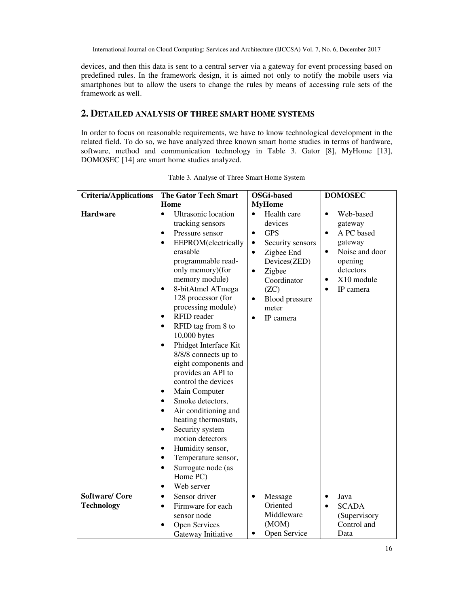devices, and then this data is sent to a central server via a gateway for event processing based on predefined rules. In the framework design, it is aimed not only to notify the mobile users via smartphones but to allow the users to change the rules by means of accessing rule sets of the framework as well.

# **2. DETAILED ANALYSIS OF THREE SMART HOME SYSTEMS**

In order to focus on reasonable requirements, we have to know technological development in the related field. To do so, we have analyzed three known smart home studies in terms of hardware, software, method and communication technology in Table 3. Gator [8], MyHome [13], DOMOSEC [14] are smart home studies analyzed.

| <b>Criteria/Applications</b> | <b>The Gator Tech Smart</b>                                                                                                                                                                                                                                                                                                                                                                                                                                                                                                                                                                                                                                                                                                                                                                                                    | <b>OSGi-based</b>                                                                                                                                                                                                                                          | <b>DOMOSEC</b>                                                                                                                                                                      |  |
|------------------------------|--------------------------------------------------------------------------------------------------------------------------------------------------------------------------------------------------------------------------------------------------------------------------------------------------------------------------------------------------------------------------------------------------------------------------------------------------------------------------------------------------------------------------------------------------------------------------------------------------------------------------------------------------------------------------------------------------------------------------------------------------------------------------------------------------------------------------------|------------------------------------------------------------------------------------------------------------------------------------------------------------------------------------------------------------------------------------------------------------|-------------------------------------------------------------------------------------------------------------------------------------------------------------------------------------|--|
|                              | Home                                                                                                                                                                                                                                                                                                                                                                                                                                                                                                                                                                                                                                                                                                                                                                                                                           | <b>MyHome</b>                                                                                                                                                                                                                                              |                                                                                                                                                                                     |  |
| <b>Hardware</b>              | <b>Ultrasonic</b> location<br>$\bullet$<br>tracking sensors<br>Pressure sensor<br>$\bullet$<br>EEPROM(electrically<br>$\bullet$<br>erasable<br>programmable read-<br>only memory)(for<br>memory module)<br>8-bitAtmel ATmega<br>$\bullet$<br>128 processor (for<br>processing module)<br>RFID reader<br>$\bullet$<br>RFID tag from 8 to<br>$\bullet$<br>10,000 bytes<br>Phidget Interface Kit<br>$\bullet$<br>8/8/8 connects up to<br>eight components and<br>provides an API to<br>control the devices<br>Main Computer<br>$\bullet$<br>Smoke detectors,<br>٠<br>Air conditioning and<br>$\bullet$<br>heating thermostats,<br>Security system<br>$\bullet$<br>motion detectors<br>Humidity sensor,<br>$\bullet$<br>Temperature sensor,<br>$\bullet$<br>Surrogate node (as<br>$\bullet$<br>Home PC)<br>Web server<br>$\bullet$ | Health care<br>$\bullet$<br>devices<br><b>GPS</b><br>$\bullet$<br>Security sensors<br>$\bullet$<br>Zigbee End<br>$\bullet$<br>Devices(ZED)<br>Zigbee<br>$\bullet$<br>Coordinator<br>(ZC)<br>Blood pressure<br>$\bullet$<br>meter<br>IP camera<br>$\bullet$ | Web-based<br>$\bullet$<br>gateway<br>A PC based<br>$\bullet$<br>gateway<br>Noise and door<br>$\bullet$<br>opening<br>detectors<br>X10 module<br>$\bullet$<br>IP camera<br>$\bullet$ |  |
| <b>Software/Core</b>         | Sensor driver<br>$\bullet$                                                                                                                                                                                                                                                                                                                                                                                                                                                                                                                                                                                                                                                                                                                                                                                                     | Message<br>$\bullet$                                                                                                                                                                                                                                       | Java<br>$\bullet$                                                                                                                                                                   |  |
| <b>Technology</b>            | Firmware for each<br>$\bullet$                                                                                                                                                                                                                                                                                                                                                                                                                                                                                                                                                                                                                                                                                                                                                                                                 | Oriented                                                                                                                                                                                                                                                   | <b>SCADA</b><br>$\bullet$                                                                                                                                                           |  |
|                              | sensor node                                                                                                                                                                                                                                                                                                                                                                                                                                                                                                                                                                                                                                                                                                                                                                                                                    | Middleware                                                                                                                                                                                                                                                 | (Supervisory                                                                                                                                                                        |  |
|                              | Open Services<br>$\bullet$                                                                                                                                                                                                                                                                                                                                                                                                                                                                                                                                                                                                                                                                                                                                                                                                     | (MOM)                                                                                                                                                                                                                                                      | Control and                                                                                                                                                                         |  |
|                              | Gateway Initiative                                                                                                                                                                                                                                                                                                                                                                                                                                                                                                                                                                                                                                                                                                                                                                                                             | Open Service<br>٠                                                                                                                                                                                                                                          | Data                                                                                                                                                                                |  |

Table 3. Analyse of Three Smart Home System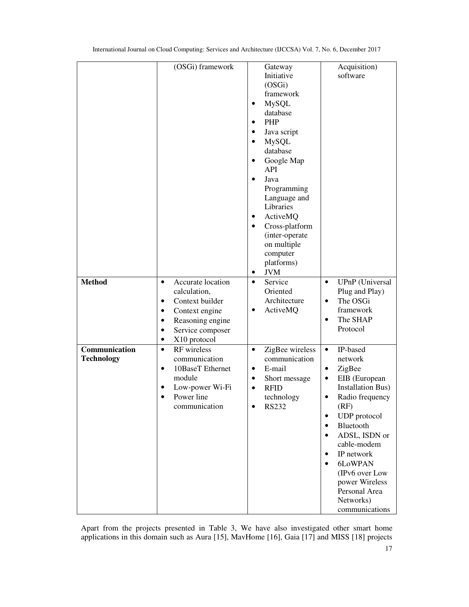|                                    | (OSGi) framework                                                                                                                                                                     | Gateway<br>Initiative<br>(OSGi)<br>framework<br><b>MySQL</b><br>$\bullet$<br>database<br>PHP<br>$\bullet$<br>Java script<br>$\bullet$<br><b>MySQL</b><br>$\bullet$<br>database<br>Google Map<br>$\bullet$<br>API<br>Java<br>$\bullet$<br>Programming<br>Language and<br>Libraries<br>ActiveMQ<br>٠<br>Cross-platform<br>$\bullet$<br>(inter-operate<br>on multiple<br>computer<br>platforms)<br><b>JVM</b><br>$\bullet$ | Acquisition)<br>software                                                                                                                                                                                                                                                                                                                                                                                    |
|------------------------------------|--------------------------------------------------------------------------------------------------------------------------------------------------------------------------------------|-------------------------------------------------------------------------------------------------------------------------------------------------------------------------------------------------------------------------------------------------------------------------------------------------------------------------------------------------------------------------------------------------------------------------|-------------------------------------------------------------------------------------------------------------------------------------------------------------------------------------------------------------------------------------------------------------------------------------------------------------------------------------------------------------------------------------------------------------|
| <b>Method</b>                      | Accurate location<br>$\bullet$<br>calculation,<br>Context builder<br>$\bullet$<br>Context engine<br>$\bullet$<br>Reasoning engine<br>٠<br>Service composer<br>٠<br>X10 protocol<br>٠ | Service<br>$\bullet$<br>Oriented<br>Architecture<br>ActiveMQ<br>$\bullet$                                                                                                                                                                                                                                                                                                                                               | UPnP (Universal<br>$\bullet$<br>Plug and Play)<br>The OSGi<br>$\bullet$<br>framework<br>The SHAP<br>$\bullet$<br>Protocol                                                                                                                                                                                                                                                                                   |
| Communication<br><b>Technology</b> | RF wireless<br>$\bullet$<br>communication<br>10BaseT Ethernet<br>$\bullet$<br>module<br>Low-power Wi-Fi<br>$\bullet$<br>Power line<br>$\bullet$<br>communication                     | ZigBee wireless<br>$\bullet$<br>communication<br>E-mail<br>$\bullet$<br>Short message<br>$\bullet$<br><b>RFID</b><br>$\bullet$<br>technology<br><b>RS232</b><br>$\bullet$                                                                                                                                                                                                                                               | IP-based<br>$\bullet$<br>network<br>ZigBee<br>$\bullet$<br>EIB (European<br>$\bullet$<br><b>Installation Bus)</b><br>Radio frequency<br>$\bullet$<br>(RF)<br><b>UDP</b> protocol<br>$\bullet$<br>Bluetooth<br>$\bullet$<br>ADSL, ISDN or<br>$\bullet$<br>cable-modem<br>IP network<br>$\bullet$<br>6LoWPAN<br>$\bullet$<br>(IPv6 over Low<br>power Wireless<br>Personal Area<br>Networks)<br>communications |

Apart from the projects presented in Table 3, We have also investigated other smart home applications in this domain such as Aura [15], MavHome [16], Gaia [17] and MISS [18] projects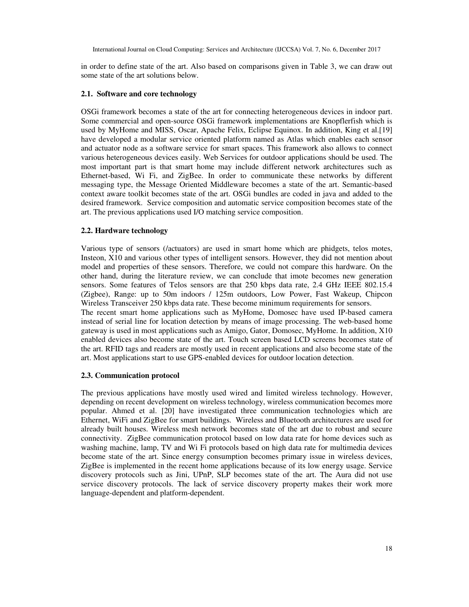in order to define state of the art. Also based on comparisons given in Table 3, we can draw out some state of the art solutions below.

### **2.1. Software and core technology**

OSGi framework becomes a state of the art for connecting heterogeneous devices in indoor part. Some commercial and open-source OSGi framework implementations are Knopflerfish which is used by MyHome and MISS, Oscar, Apache Felix, Eclipse Equinox. In addition, King et al.[19] have developed a modular service oriented platform named as Atlas which enables each sensor and actuator node as a software service for smart spaces. This framework also allows to connect various heterogeneous devices easily. Web Services for outdoor applications should be used. The most important part is that smart home may include different network architectures such as Ethernet-based, Wi Fi, and ZigBee. In order to communicate these networks by different messaging type, the Message Oriented Middleware becomes a state of the art. Semantic-based context aware toolkit becomes state of the art. OSGi bundles are coded in java and added to the desired framework. Service composition and automatic service composition becomes state of the art. The previous applications used I/O matching service composition.

### **2.2. Hardware technology**

Various type of sensors (/actuators) are used in smart home which are phidgets, telos motes, Insteon, X10 and various other types of intelligent sensors. However, they did not mention about model and properties of these sensors. Therefore, we could not compare this hardware. On the other hand, during the literature review, we can conclude that imote becomes new generation sensors. Some features of Telos sensors are that 250 kbps data rate, 2.4 GHz IEEE 802.15.4 (Zigbee), Range: up to 50m indoors / 125m outdoors, Low Power, Fast Wakeup, Chipcon Wireless Transceiver 250 kbps data rate. These become minimum requirements for sensors. The recent smart home applications such as MyHome, Domosec have used IP-based camera instead of serial line for location detection by means of image processing. The web-based home gateway is used in most applications such as Amigo, Gator, Domosec, MyHome. In addition, X10 enabled devices also become state of the art. Touch screen based LCD screens becomes state of the art. RFID tags and readers are mostly used in recent applications and also become state of the art. Most applications start to use GPS-enabled devices for outdoor location detection.

#### **2.3. Communication protocol**

The previous applications have mostly used wired and limited wireless technology. However, depending on recent development on wireless technology, wireless communication becomes more popular. Ahmed et al. [20] have investigated three communication technologies which are Ethernet, WiFi and ZigBee for smart buildings. Wireless and Bluetooth architectures are used for already built houses. Wireless mesh network becomes state of the art due to robust and secure connectivity. ZigBee communication protocol based on low data rate for home devices such as washing machine, lamp, TV and Wi Fi protocols based on high data rate for multimedia devices become state of the art. Since energy consumption becomes primary issue in wireless devices, ZigBee is implemented in the recent home applications because of its low energy usage. Service discovery protocols such as Jini, UPnP, SLP becomes state of the art. The Aura did not use service discovery protocols. The lack of service discovery property makes their work more language-dependent and platform-dependent.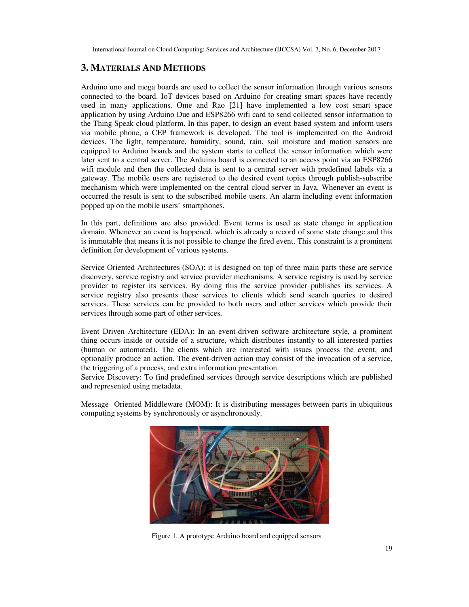# **3. MATERIALS AND METHODS**

Arduino uno and mega boards are used to collect the sensor information through various sensors connected to the board. IoT devices based on Arduino for creating smart spaces have recently used in many applications. Ome and Rao [21] have implemented a low cost smart space application by using Arduino Due and ESP8266 wifi card to send collected sensor information to the Thing Speak cloud platform. In this paper, to design an event based system and inform users via mobile phone, a CEP framework is developed. The tool is implemented on the Android devices. The light, temperature, humidity, sound, rain, soil moisture and motion sensors are equipped to Arduino boards and the system starts to collect the sensor information which were later sent to a central server. The Arduino board is connected to an access point via an ESP8266 wifi module and then the collected data is sent to a central server with predefined labels via a gateway. The mobile users are registered to the desired event topics through publish-subscribe mechanism which were implemented on the central cloud server in Java. Whenever an event is occurred the result is sent to the subscribed mobile users. An alarm including event information popped up on the mobile users' smartphones.

In this part, definitions are also provided. Event terms is used as state change in application domain. Whenever an event is happened, which is already a record of some state change and this is immutable that means it is not possible to change the fired event. This constraint is a prominent definition for development of various systems.

Service Oriented Architectures (SOA): it is designed on top of three main parts these are service discovery, service registry and service provider mechanisms. A service registry is used by service provider to register its services. By doing this the service provider publishes its services. A service registry also presents these services to clients which send search queries to desired services. These services can be provided to both users and other services which provide their services through some part of other services.

Event Driven Architecture (EDA): In an event-driven software architecture style, a prominent thing occurs inside or outside of a structure, which distributes instantly to all interested parties (human or automated). The clients which are interested with issues process the event, and optionally produce an action. The event-driven action may consist of the invocation of a service, the triggering of a process, and extra information presentation.

Service Discovery: To find predefined services through service descriptions which are published and represented using metadata.

Message Oriented Middleware (MOM): It is distributing messages between parts in ubiquitous computing systems by synchronously or asynchronously.



Figure 1. A prototype Arduino board and equipped sensors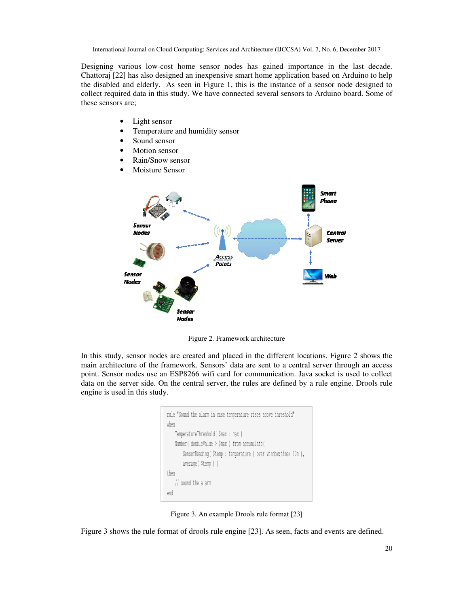Designing various low-cost home sensor nodes has gained importance in the last decade. Chattoraj [22] has also designed an inexpensive smart home application based on Arduino to help the disabled and elderly. As seen in Figure 1, this is the instance of a sensor node designed to collect required data in this study. We have connected several sensors to Arduino board. Some of these sensors are;

- Light sensor
- Temperature and humidity sensor
- Sound sensor
- Motion sensor
- Rain/Snow sensor
- Moisture Sensor



Figure 2. Framework architecture

In this study, sensor nodes are created and placed in the different locations. Figure 2 shows the main architecture of the framework. Sensors' data are sent to a central server through an access point. Sensor nodes use an ESP8266 wifi card for communication. Java socket is used to collect data on the server side. On the central server, the rules are defined by a rule engine. Drools rule engine is used in this study.

| rule "Sound the alarm in case temperature rises above threshold" |
|------------------------------------------------------------------|
| when                                                             |
| TemperatureThreshold(\$max : max )                               |
| Number (doubleValue > \$max ) from accumulate (                  |
| SensorReading(\$temp: temperature) over window:time(10m),        |
| average (\$temp))                                                |
| then                                                             |
| // sound the alarm                                               |
| end                                                              |
|                                                                  |

Figure 3. An example Drools rule format [23]

Figure 3 shows the rule format of drools rule engine [23]. As seen, facts and events are defined.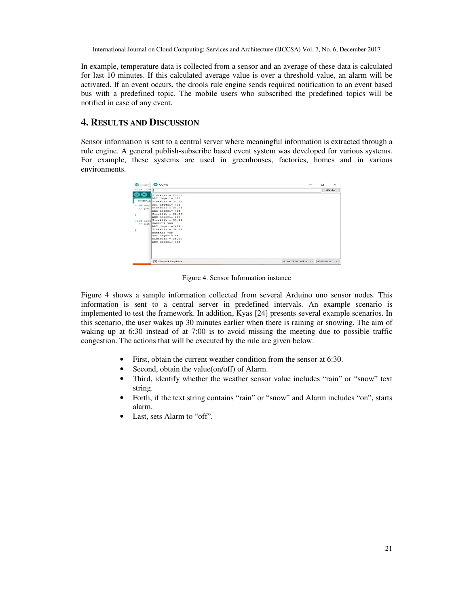In example, temperature data is collected from a sensor and an average of these data is calculated for last 10 minutes. If this calculated average value is over a threshold value, an alarm will be activated. If an event occurs, the drools rule engine sends required notification to an event based bus with a predefined topic. The mobile users who subscribed the predefined topics will be notified in case of any event.

# **4. RESULTS AND DISCUSSION**

Sensor information is sent to a central server where meaningful information is extracted through a rule engine. A general publish-subscribe based event system was developed for various systems. For example, these systems are used in greenhouses, factories, homes and in various environments.

|               | <b>CO</b> sketch <b>CO</b> COM3                                                                                                                                                                                                                                                                                                                      |                                 | $\times$<br>$\Box$  |
|---------------|------------------------------------------------------------------------------------------------------------------------------------------------------------------------------------------------------------------------------------------------------------------------------------------------------------------------------------------------------|---------------------------------|---------------------|
| Dosya Düze    |                                                                                                                                                                                                                                                                                                                                                      |                                 | Gönder              |
| $11$ put<br>Ŧ | $Stcaklik = 29.33$<br>ADC degeri= 431<br>$sketch_i = 32.75$<br>void setu ADC degeri- 435<br>// $pur$ Sicaklik = 28.84<br>ADC degeri= 435<br>$Sicaklik = 32.26$<br>ADC degeri- 435<br>void $\log$ Sicaklik = 33.24<br>HAREKET VAR<br>ADC degeri= 436<br>$Stcak11k - 34.21$<br>HAREKET VAR<br>ADC degeri= 440<br>$Sicaklik = 35.19$<br>ADC degeri- 438 |                                 |                     |
|               | Otomatik Kaydırma                                                                                                                                                                                                                                                                                                                                    | NL ve CR ile birlikte. $\smile$ | 9600 baud<br>$\sim$ |

Figure 4. Sensor Information instance

Figure 4 shows a sample information collected from several Arduino uno sensor nodes. This information is sent to a central server in predefined intervals. An example scenario is implemented to test the framework. In addition, Kyas [24] presents several example scenarios. In this scenario, the user wakes up 30 minutes earlier when there is raining or snowing. The aim of waking up at 6:30 instead of at 7:00 is to avoid missing the meeting due to possible traffic congestion. The actions that will be executed by the rule are given below.

- First, obtain the current weather condition from the sensor at 6:30.
- Second, obtain the value(on/off) of Alarm.
- Third, identify whether the weather sensor value includes "rain" or "snow" text string.
- Forth, if the text string contains "rain" or "snow" and Alarm includes "on", starts alarm.
- Last, sets Alarm to "off".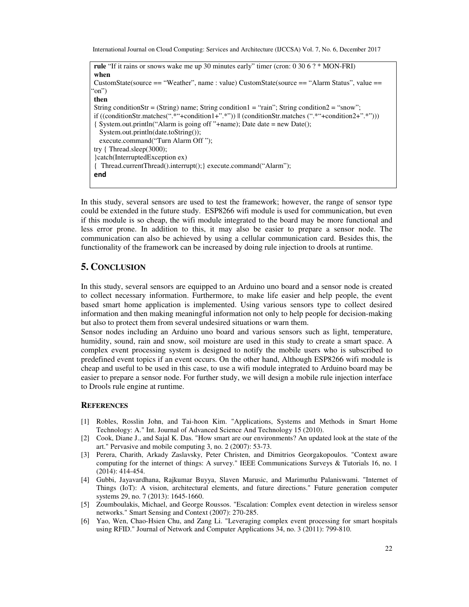**rule** "If it rains or snows wake me up 30 minutes early" timer (cron: 0 30 6 ? \* MON-FRI) **when**  CustomState(source == "Weather", name : value) CustomState(source == "Alarm Status", value ==  $(m")$ **then**  String conditionStr = (String) name; String condition1 = "rain"; String condition2 = "snow"; if ((conditionStr.matches(".\*"+condition1+".\*")) || (conditionStr.matches (".\*"+condition2+".\*"))) { System.out.println("Alarm is going off "+name); Date date = new Date(); System.out.println(date.toString()); execute.command("Turn Alarm Off "); try { Thread.sleep(3000); }catch(InterruptedException ex) { Thread.currentThread().interrupt();} execute.command("Alarm"); **end**

In this study, several sensors are used to test the framework; however, the range of sensor type could be extended in the future study. ESP8266 wifi module is used for communication, but even if this module is so cheap, the wifi module integrated to the board may be more functional and less error prone. In addition to this, it may also be easier to prepare a sensor node. The communication can also be achieved by using a cellular communication card. Besides this, the functionality of the framework can be increased by doing rule injection to drools at runtime.

# **5. CONCLUSION**

In this study, several sensors are equipped to an Arduino uno board and a sensor node is created to collect necessary information. Furthermore, to make life easier and help people, the event based smart home application is implemented. Using various sensors type to collect desired information and then making meaningful information not only to help people for decision-making but also to protect them from several undesired situations or warn them.

Sensor nodes including an Arduino uno board and various sensors such as light, temperature, humidity, sound, rain and snow, soil moisture are used in this study to create a smart space. A complex event processing system is designed to notify the mobile users who is subscribed to predefined event topics if an event occurs. On the other hand, Although ESP8266 wifi module is cheap and useful to be used in this case, to use a wifi module integrated to Arduino board may be easier to prepare a sensor node. For further study, we will design a mobile rule injection interface to Drools rule engine at runtime.

## **REFERENCES**

- [1] Robles, Rosslin John, and Tai-hoon Kim. "Applications, Systems and Methods in Smart Home Technology: A." Int. Journal of Advanced Science And Technology 15 (2010).
- [2] Cook, Diane J., and Sajal K. Das. "How smart are our environments? An updated look at the state of the art." Pervasive and mobile computing 3, no. 2 (2007): 53-73.
- [3] Perera, Charith, Arkady Zaslavsky, Peter Christen, and Dimitrios Georgakopoulos. "Context aware computing for the internet of things: A survey." IEEE Communications Surveys & Tutorials 16, no. 1 (2014): 414-454.
- [4] Gubbi, Jayavardhana, Rajkumar Buyya, Slaven Marusic, and Marimuthu Palaniswami. "Internet of Things (IoT): A vision, architectural elements, and future directions." Future generation computer systems 29, no. 7 (2013): 1645-1660.
- [5] Zoumboulakis, Michael, and George Roussos. "Escalation: Complex event detection in wireless sensor networks." Smart Sensing and Context (2007): 270-285.
- [6] Yao, Wen, Chao-Hsien Chu, and Zang Li. "Leveraging complex event processing for smart hospitals using RFID." Journal of Network and Computer Applications 34, no. 3 (2011): 799-810.